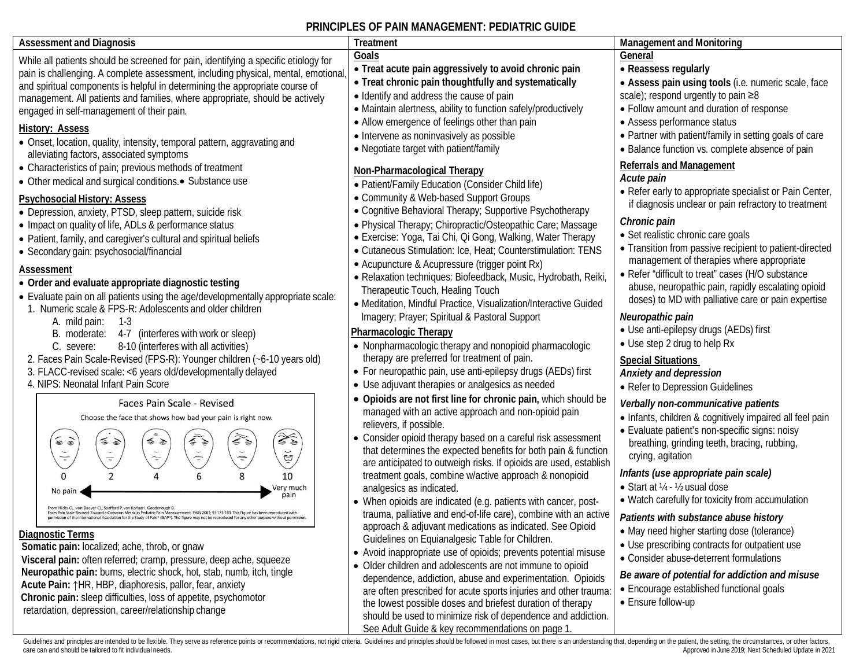### **PRINCIPLES OF PAIN MANAGEMENT: PEDIATRIC GUIDE**

| <b>Assessment and Diagnosis</b>                                                                                                                                                                                                                                                                                                                                                                                                                                                                                                                                                                                                                                                                                                                                                                                                                                                                                                                                                                                                        | Treatment                                                                                                                                                                                                                                                                                                                                                                                                                                                                                                                                                                                                                                                                                                                                                                                                                                                                                                                                                                                                                                                                                         | <b>Management and Monitoring</b>                                                                                                                                                                                                                                                                                                                                                                                                                                                                                                                                                                                                                               |
|----------------------------------------------------------------------------------------------------------------------------------------------------------------------------------------------------------------------------------------------------------------------------------------------------------------------------------------------------------------------------------------------------------------------------------------------------------------------------------------------------------------------------------------------------------------------------------------------------------------------------------------------------------------------------------------------------------------------------------------------------------------------------------------------------------------------------------------------------------------------------------------------------------------------------------------------------------------------------------------------------------------------------------------|---------------------------------------------------------------------------------------------------------------------------------------------------------------------------------------------------------------------------------------------------------------------------------------------------------------------------------------------------------------------------------------------------------------------------------------------------------------------------------------------------------------------------------------------------------------------------------------------------------------------------------------------------------------------------------------------------------------------------------------------------------------------------------------------------------------------------------------------------------------------------------------------------------------------------------------------------------------------------------------------------------------------------------------------------------------------------------------------------|----------------------------------------------------------------------------------------------------------------------------------------------------------------------------------------------------------------------------------------------------------------------------------------------------------------------------------------------------------------------------------------------------------------------------------------------------------------------------------------------------------------------------------------------------------------------------------------------------------------------------------------------------------------|
| While all patients should be screened for pain, identifying a specific etiology for<br>pain is challenging. A complete assessment, including physical, mental, emotional<br>and spiritual components is helpful in determining the appropriate course of<br>management. All patients and families, where appropriate, should be actively<br>engaged in self-management of their pain.<br><b>History: Assess</b><br>• Onset, location, quality, intensity, temporal pattern, aggravating and<br>alleviating factors, associated symptoms                                                                                                                                                                                                                                                                                                                                                                                                                                                                                                | Goals<br>• Treat acute pain aggressively to avoid chronic pain<br>• Treat chronic pain thoughtfully and systematically<br>• Identify and address the cause of pain<br>• Maintain alertness, ability to function safely/productively<br>• Allow emergence of feelings other than pain<br>• Intervene as noninvasively as possible<br>• Negotiate target with patient/family                                                                                                                                                                                                                                                                                                                                                                                                                                                                                                                                                                                                                                                                                                                        | General<br>• Reassess regularly<br>• Assess pain using tools (i.e. numeric scale, face<br>scale); respond urgently to pain ≥8<br>• Follow amount and duration of response<br>• Assess performance status<br>• Partner with patient/family in setting goals of care<br>• Balance function vs. complete absence of pain                                                                                                                                                                                                                                                                                                                                          |
| • Characteristics of pain; previous methods of treatment<br>• Other medical and surgical conditions.• Substance use<br><b>Psychosocial History: Assess</b><br>• Depression, anxiety, PTSD, sleep pattern, suicide risk<br>• Impact on quality of life, ADLs & performance status<br>· Patient, family, and caregiver's cultural and spiritual beliefs<br>• Secondary gain: psychosocial/financial<br>Assessment                                                                                                                                                                                                                                                                                                                                                                                                                                                                                                                                                                                                                        | Non-Pharmacological Therapy<br>· Patient/Family Education (Consider Child life)<br>• Community & Web-based Support Groups<br>• Cognitive Behavioral Therapy; Supportive Psychotherapy<br>• Physical Therapy; Chiropractic/Osteopathic Care; Massage<br>• Exercise: Yoga, Tai Chi, Qi Gong, Walking, Water Therapy<br>• Cutaneous Stimulation: Ice, Heat; Counterstimulation: TENS<br>• Acupuncture & Acupressure (trigger point Rx)                                                                                                                                                                                                                                                                                                                                                                                                                                                                                                                                                                                                                                                               | <b>Referrals and Management</b><br>Acute pain<br>• Refer early to appropriate specialist or Pain Center,<br>if diagnosis unclear or pain refractory to treatment<br>Chronic pain<br>• Set realistic chronic care goals<br>• Transition from passive recipient to patient-directed<br>management of therapies where appropriate                                                                                                                                                                                                                                                                                                                                 |
| • Order and evaluate appropriate diagnostic testing<br>. Evaluate pain on all patients using the age/developmentally appropriate scale:<br>1. Numeric scale & FPS-R: Adolescents and older children<br>A. mild pain:<br>$1-3$<br>B. moderate: 4-7 (interferes with work or sleep)<br>8-10 (interferes with all activities)<br>C. severe:<br>2. Faces Pain Scale-Revised (FPS-R): Younger children (~6-10 years old)<br>3. FLACC-revised scale: < 6 years old/developmentally delayed<br>4. NIPS: Neonatal Infant Pain Score                                                                                                                                                                                                                                                                                                                                                                                                                                                                                                            | · Relaxation techniques: Biofeedback, Music, Hydrobath, Reiki,<br>Therapeutic Touch, Healing Touch<br>· Meditation, Mindful Practice, Visualization/Interactive Guided<br>Imagery; Prayer; Spiritual & Pastoral Support<br>Pharmacologic Therapy<br>• Nonpharmacologic therapy and nonopioid pharmacologic<br>therapy are preferred for treatment of pain.<br>• For neuropathic pain, use anti-epilepsy drugs (AEDs) first<br>• Use adjuvant therapies or analgesics as needed                                                                                                                                                                                                                                                                                                                                                                                                                                                                                                                                                                                                                    | • Refer "difficult to treat" cases (H/O substance<br>abuse, neuropathic pain, rapidly escalating opioid<br>doses) to MD with palliative care or pain expertise<br>Neuropathic pain<br>• Use anti-epilepsy drugs (AEDs) first<br>• Use step 2 drug to help Rx<br><b>Special Situations</b><br>Anxiety and depression<br>• Refer to Depression Guidelines                                                                                                                                                                                                                                                                                                        |
| Faces Pain Scale - Revised<br>Choose the face that shows how bad your pain is right now.<br>$\left(\frac{1}{2}\right)$<br>$\sum_{i=1}^{n}$<br>$\widetilde{\mathscr{E}}_\varphi$<br>$\widehat{\bullet}$<br>$\leqslant$<br>乏<br>$\frac{1}{2}$<br>$\frac{1}{2}$<br>$\int$<br>$\frac{1}{1}$<br>$\frac{1}{2}$<br>$\mathbb{E}$<br>6<br>8<br>10<br>$\Omega$<br>Very much<br>No pain<br>pain<br>From Hicks CL. von Baeyer CL, Spafford P, van Korlaar I, Goodenough B.<br>Faces Pain Scale-Revised: Toward a Common Metric in Pediatric Pain Maeaurement. PAIN 2001; 93:173-183. This Figure has been reproduced v<br>permission of<br>Diagnostic Terms<br>Somatic pain: localized; ache, throb, or gnaw<br>Visceral pain: often referred; cramp, pressure, deep ache, squeeze<br>Neuropathic pain: burns, electric shock, hot, stab, numb, itch, tingle<br>Acute Pain: 1HR, HBP, diaphoresis, pallor, fear, anxiety<br>Chronic pain: sleep difficulties, loss of appetite, psychomotor<br>retardation, depression, career/relationship change | • Opioids are not first line for chronic pain, which should be<br>managed with an active approach and non-opioid pain<br>relievers, if possible.<br>• Consider opioid therapy based on a careful risk assessment<br>that determines the expected benefits for both pain & function<br>are anticipated to outweigh risks. If opioids are used, establish<br>treatment goals, combine w/active approach & nonopioid<br>analgesics as indicated.<br>• When opioids are indicated (e.g. patients with cancer, post-<br>trauma, palliative and end-of-life care), combine with an active<br>approach & adjuvant medications as indicated. See Opioid<br>Guidelines on Equianalgesic Table for Children.<br>• Avoid inappropriate use of opioids; prevents potential misuse<br>• Older children and adolescents are not immune to opioid<br>dependence, addiction, abuse and experimentation. Opioids<br>are often prescribed for acute sports injuries and other trauma:<br>the lowest possible doses and briefest duration of therapy<br>should be used to minimize risk of dependence and addiction. | Verbally non-communicative patients<br>• Infants, children & cognitively impaired all feel pain<br>· Evaluate patient's non-specific signs: noisy<br>breathing, grinding teeth, bracing, rubbing,<br>crying, agitation<br>Infants (use appropriate pain scale)<br>• Start at 1/4 - 1/2 usual dose<br>• Watch carefully for toxicity from accumulation<br>Patients with substance abuse history<br>• May need higher starting dose (tolerance)<br>• Use prescribing contracts for outpatient use<br>• Consider abuse-deterrent formulations<br>Be aware of potential for addiction and misuse<br>• Encourage established functional goals<br>• Ensure follow-up |

Guidelines and principles are intended to be flexible. They serve as reference points or recommendations, not rigid criteria. Guidelines and principles should be followed in most cases, but there is an understanding that,

See Adult Guide & key recommendations on page 1.